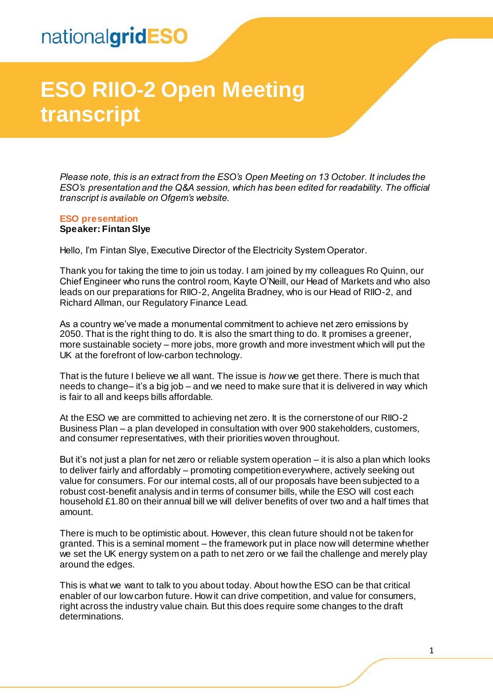# nationalgridESO

# **ESO RIIO-2 Open Meeting transcript**

*Please note, this is an extract from the ESO's Open Meeting on 13 October. It includes the ESO's presentation and the Q&A session, which has been edited for readability. The official transcript is available on Ofgem's website.* 

#### **ESO presentation Speaker: Fintan Slye**

Hello, I'm Fintan Slye, Executive Director of the Electricity System Operator.

Thank you for taking the time to join us today. I am joined by my colleagues Ro Quinn, our Chief Engineer who runs the control room, Kayte O'Neill, our Head of Markets and who also leads on our preparations for RIIO-2, Angelita Bradney, who is our Head of RIIO-2, and Richard Allman, our Regulatory Finance Lead.

As a country we've made a monumental commitment to achieve net zero emissions by 2050. That is the right thing to do. It is also the smart thing to do. It promises a greener, more sustainable society – more jobs, more growth and more investment which will put the UK at the forefront of low-carbon technology.

That is the future I believe we all want. The issue is *how* we get there. There is much that needs to change– it's a big job – and we need to make sure that it is delivered in way which is fair to all and keeps bills affordable.

At the ESO we are committed to achieving net zero. It is the cornerstone of our RIIO-2 Business Plan – a plan developed in consultation with over 900 stakeholders, customers, and consumer representatives, with their priorities woven throughout.

But it's not just a plan for net zero or reliable system operation – it is also a plan which looks to deliver fairly and affordably – promoting competition everywhere, actively seeking out value for consumers. For our internal costs, all of our proposals have been subjected to a robust cost-benefit analysis and in terms of consumer bills, while the ESO will cost each household £1.80 on their annual bill we will deliver benefits of over two and a half times that amount.

There is much to be optimistic about. However, this clean future should not be taken for granted. This is a seminal moment – the framework put in place now will determine whether we set the UK energy system on a path to net zero or we fail the challenge and merely play around the edges.

This is what we want to talk to you about today. About how the ESO can be that critical enabler of our low carbon future. How it can drive competition, and value for consumers, right across the industry value chain. But this does require some changes to the draft determinations.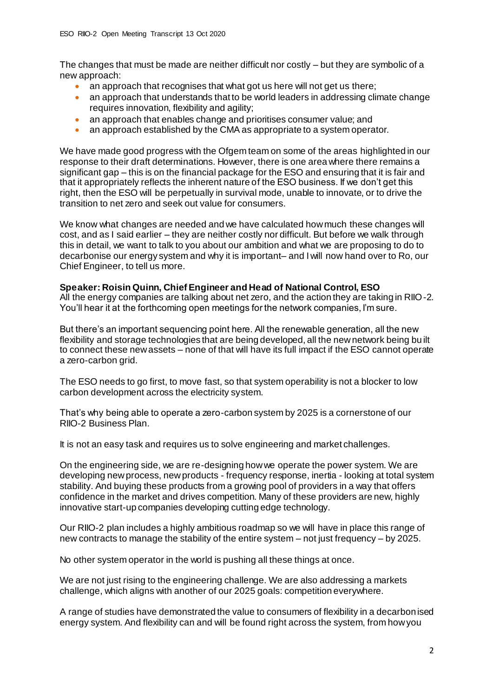The changes that must be made are neither difficult nor costly – but they are symbolic of a new approach:

- an approach that recognises that what got us here will not get us there;
- an approach that understands that to be world leaders in addressing climate change requires innovation, flexibility and agility;
- an approach that enables change and prioritises consumer value; and
- an approach established by the CMA as appropriate to a system operator.

We have made good progress with the Ofgem team on some of the areas highlighted in our response to their draft determinations. However, there is one area where there remains a significant gap – this is on the financial package for the ESO and ensuring that it is fair and that it appropriately reflects the inherent nature of the ESO business. If we don't get this right, then the ESO will be perpetually in survival mode, unable to innovate, or to drive the transition to net zero and seek out value for consumers.

We know what changes are needed and we have calculated how much these changes will cost, and as I said earlier – they are neither costly nor difficult. But before we walk through this in detail, we want to talk to you about our ambition and what we are proposing to do to decarbonise our energy system and why it is important– and I will now hand over to Ro, our Chief Engineer, to tell us more.

#### **Speaker: Roisin Quinn, Chief Engineer and Head of National Control, ESO**

All the energy companies are talking about net zero, and the action they are taking in RIIO-2. You'll hear it at the forthcoming open meetings for the network companies, I'm sure.

But there's an important sequencing point here. All the renewable generation, all the new flexibility and storage technologies that are being developed, all the new network being bu ilt to connect these new assets – none of that will have its full impact if the ESO cannot operate a zero-carbon grid.

The ESO needs to go first, to move fast, so that system operability is not a blocker to low carbon development across the electricity system.

That's why being able to operate a zero-carbon system by 2025 is a cornerstone of our RIIO-2 Business Plan.

It is not an easy task and requires us to solve engineering and market challenges.

On the engineering side, we are re-designing how we operate the power system. We are developing new process, new products - frequency response, inertia - looking at total system stability. And buying these products from a growing pool of providers in a way that offers confidence in the market and drives competition. Many of these providers are new, highly innovative start-up companies developing cutting edge technology.

Our RIIO-2 plan includes a highly ambitious roadmap so we will have in place this range of new contracts to manage the stability of the entire system – not just frequency – by 2025.

No other system operator in the world is pushing all these things at once.

We are not just rising to the engineering challenge. We are also addressing a markets challenge, which aligns with another of our 2025 goals: competition everywhere.

A range of studies have demonstrated the value to consumers of flexibility in a decarbonised energy system. And flexibility can and will be found right across the system, from how you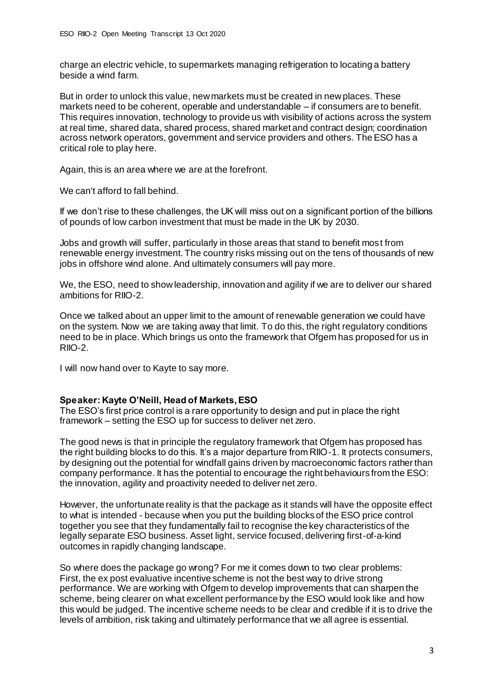charge an electric vehicle, to supermarkets managing refrigeration to locating a battery beside a wind farm.

But in order to unlock this value, new markets must be created in new places. These markets need to be coherent, operable and understandable – if consumers are to benefit. This requires innovation, technology to provide us with visibility of actions across the system at real time, shared data, shared process, shared market and contract design; coordination across network operators, government and service providers and others. The ESO has a critical role to play here.

Again, this is an area where we are at the forefront.

We can't afford to fall behind.

If we don't rise to these challenges, the UK will miss out on a significant portion of the billions of pounds of low carbon investment that must be made in the UK by 2030.

Jobs and growth will suffer, particularly in those areas that stand to benefit most from renewable energy investment. The country risks missing out on the tens of thousands of new jobs in offshore wind alone. And ultimately consumers will pay more.

We, the ESO, need to show leadership, innovation and agility if we are to deliver our shared ambitions for RIIO-2.

Once we talked about an upper limit to the amount of renewable generation we could have on the system. Now we are taking away that limit. To do this, the right regulatory conditions need to be in place. Which brings us onto the framework that Ofgem has proposed for us in RIIO-2.

I will now hand over to Kayte to say more.

## **Speaker: Kayte O'Neill, Head of Markets, ESO**

The ESO's first price control is a rare opportunity to design and put in place the right framework – setting the ESO up for success to deliver net zero.

The good news is that in principle the regulatory framework that Ofgem has proposed has the right building blocks to do this. It's a major departure from RIIO-1. It protects consumers, by designing out the potential for windfall gains driven by macroeconomic factors rather than company performance. It has the potential to encourage the right behaviours from the ESO: the innovation, agility and proactivity needed to deliver net zero.

However, the unfortunate reality is that the package as it stands will have the opposite effect to what is intended - because when you put the building blocks of the ESO price control together you see that they fundamentally fail to recognise the key characteristics of the legally separate ESO business. Asset light, service focused, delivering first-of-a-kind outcomes in rapidly changing landscape.

So where does the package go wrong? For me it comes down to two clear problems: First, the ex post evaluative incentive scheme is not the best way to drive strong performance. We are working with Ofgem to develop improvements that can sharpen the scheme, being clearer on what excellent performance by the ESO would look like and how this would be judged. The incentive scheme needs to be clear and credible if it is to drive the levels of ambition, risk taking and ultimately performance that we all agree is essential.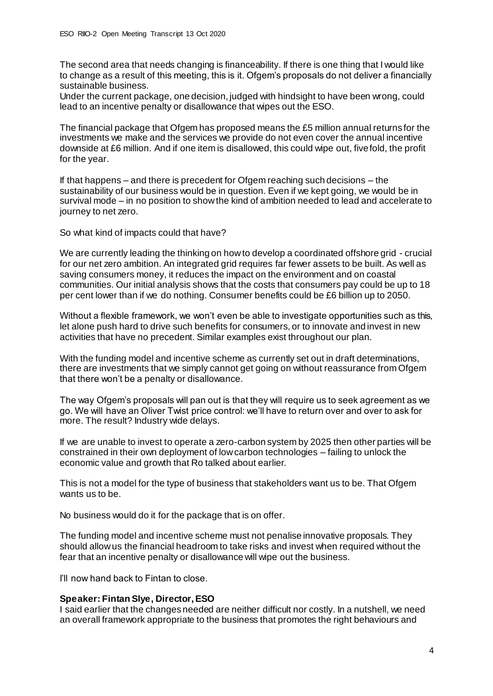The second area that needs changing is financeability. If there is one thing that I would like to change as a result of this meeting, this is it. Ofgem's proposals do not deliver a financially sustainable business.

Under the current package, one decision, judged with hindsight to have been wrong, could lead to an incentive penalty or disallowance that wipes out the ESO.

The financial package that Ofgem has proposed means the £5 million annual returns for the investments we make and the services we provide do not even cover the annual incentive downside at £6 million. And if one item is disallowed, this could wipe out, fivefold, the profit for the year.

If that happens – and there is precedent for Ofgem reaching such decisions – the sustainability of our business would be in question. Even if we kept going, we would be in survival mode – in no position to show the kind of ambition needed to lead and accelerate to journey to net zero.

So what kind of impacts could that have?

We are currently leading the thinking on how to develop a coordinated offshore grid - crucial for our net zero ambition. An integrated grid requires far fewer assets to be built. As well as saving consumers money, it reduces the impact on the environment and on coastal communities. Our initial analysis shows that the costs that consumers pay could be up to 18 per cent lower than if we do nothing. Consumer benefits could be £6 billion up to 2050.

Without a flexible framework, we won't even be able to investigate opportunities such as this, let alone push hard to drive such benefits for consumers, or to innovate and invest in new activities that have no precedent. Similar examples exist throughout our plan.

With the funding model and incentive scheme as currently set out in draft determinations. there are investments that we simply cannot get going on without reassurance from Ofgem that there won't be a penalty or disallowance.

The way Ofgem's proposals will pan out is that they will require us to seek agreement as we go. We will have an Oliver Twist price control: we'll have to return over and over to ask for more. The result? Industry wide delays.

If we are unable to invest to operate a zero-carbon system by 2025 then other parties will be constrained in their own deployment of low carbon technologies – failing to unlock the economic value and growth that Ro talked about earlier.

This is not a model for the type of business that stakeholders want us to be. That Ofgem wants us to be.

No business would do it for the package that is on offer.

The funding model and incentive scheme must not penalise innovative proposals. They should allow us the financial headroom to take risks and invest when required without the fear that an incentive penalty or disallowance will wipe out the business.

I'll now hand back to Fintan to close.

#### **Speaker: Fintan Slye, Director, ESO**

I said earlier that the changes needed are neither difficult nor costly. In a nutshell, we need an overall framework appropriate to the business that promotes the right behaviours and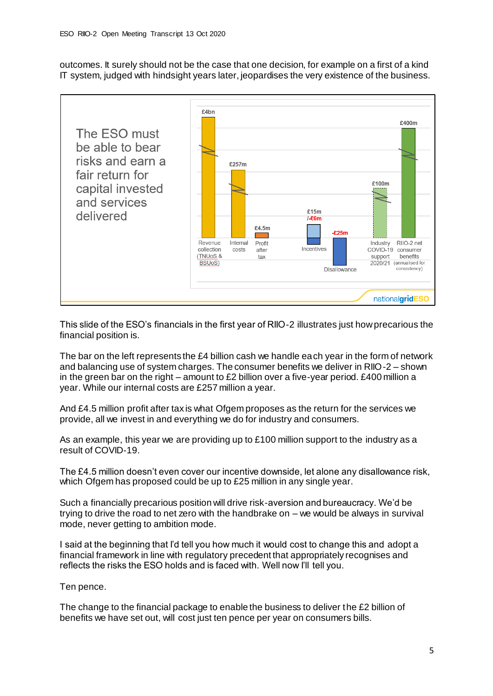outcomes. It surely should not be the case that one decision, for example on a first of a kind IT system, judged with hindsight years later, jeopardises the very existence of the business.



This slide of the ESO's financials in the first year of RIIO-2 illustrates just how precarious the financial position is.

The bar on the left represents the £4 billion cash we handle each year in the form of network and balancing use of system charges. The consumer benefits we deliver in RIIO-2 – shown in the green bar on the right – amount to £2 billion over a five-year period. £400 million a year. While our internal costs are £257 million a year.

And £4.5 million profit after tax is what Ofgem proposes as the return for the services we provide, all we invest in and everything we do for industry and consumers.

As an example, this year we are providing up to £100 million support to the industry as a result of COVID-19.

The £4.5 million doesn't even cover our incentive downside, let alone any disallowance risk, which Ofgem has proposed could be up to £25 million in any single year.

Such a financially precarious position will drive risk-aversion and bureaucracy. We'd be trying to drive the road to net zero with the handbrake on – we would be always in survival mode, never getting to ambition mode.

I said at the beginning that I'd tell you how much it would cost to change this and adopt a financial framework in line with regulatory precedent that appropriately recognises and reflects the risks the ESO holds and is faced with. Well now I'll tell you.

Ten pence.

The change to the financial package to enable the business to deliver the £2 billion of benefits we have set out, will cost just ten pence per year on consumers bills.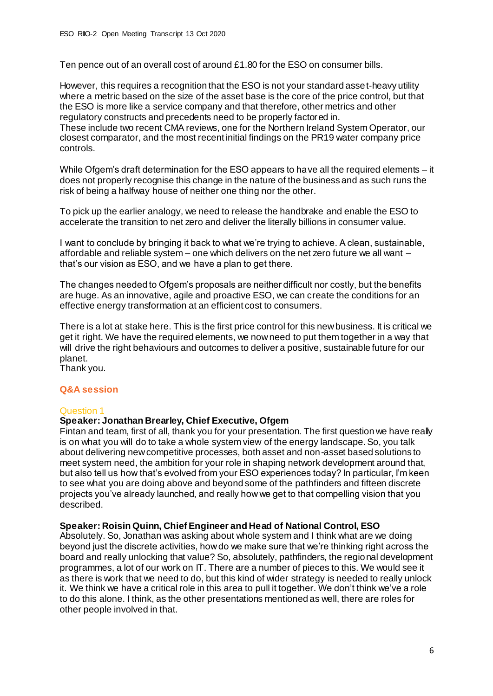Ten pence out of an overall cost of around £1.80 for the ESO on consumer bills.

However, this requires a recognition that the ESO is not your standard asset-heavy utility where a metric based on the size of the asset base is the core of the price control, but that the ESO is more like a service company and that therefore, other metrics and other regulatory constructs and precedents need to be properly factored in.

These include two recent CMA reviews, one for the Northern Ireland System Operator, our closest comparator, and the most recent initial findings on the PR19 water company price controls.

While Ofgem's draft determination for the ESO appears to have all the required elements – it does not properly recognise this change in the nature of the business and as such runs the risk of being a halfway house of neither one thing nor the other.

To pick up the earlier analogy, we need to release the handbrake and enable the ESO to accelerate the transition to net zero and deliver the literally billions in consumer value.

I want to conclude by bringing it back to what we're trying to achieve. A clean, sustainable, affordable and reliable system – one which delivers on the net zero future we all want – that's our vision as ESO, and we have a plan to get there.

The changes needed to Ofgem's proposals are neither difficult nor costly, but the benefits are huge. As an innovative, agile and proactive ESO, we can create the conditions for an effective energy transformation at an efficient cost to consumers.

There is a lot at stake here. This is the first price control for this new business. It is critical we get it right. We have the required elements, we now need to put them together in a way that will drive the right behaviours and outcomes to deliver a positive, sustainable future for our planet.

Thank you.

## **Q&A session**

## Question 1

## **Speaker: Jonathan Brearley, Chief Executive, Ofgem**

Fintan and team, first of all, thank you for your presentation. The first question we have really is on what you will do to take a whole system view of the energy landscape. So, you talk about delivering new competitive processes, both asset and non-asset based solutions to meet system need, the ambition for your role in shaping network development around that, but also tell us how that's evolved from your ESO experiences today? In particular, I'm keen to see what you are doing above and beyond some of the pathfinders and fifteen discrete projects you've already launched, and really how we get to that compelling vision that you described.

#### **Speaker: Roisin Quinn, Chief Engineer and Head of National Control, ESO**

Absolutely. So, Jonathan was asking about whole system and I think what are we doing beyond just the discrete activities, how do we make sure that we're thinking right across the board and really unlocking that value? So, absolutely, pathfinders, the regional development programmes, a lot of our work on IT. There are a number of pieces to this. We would see it as there is work that we need to do, but this kind of wider strategy is needed to really unlock it. We think we have a critical role in this area to pull it together. We don't think we've a role to do this alone. I think, as the other presentations mentioned as well, there are roles for other people involved in that.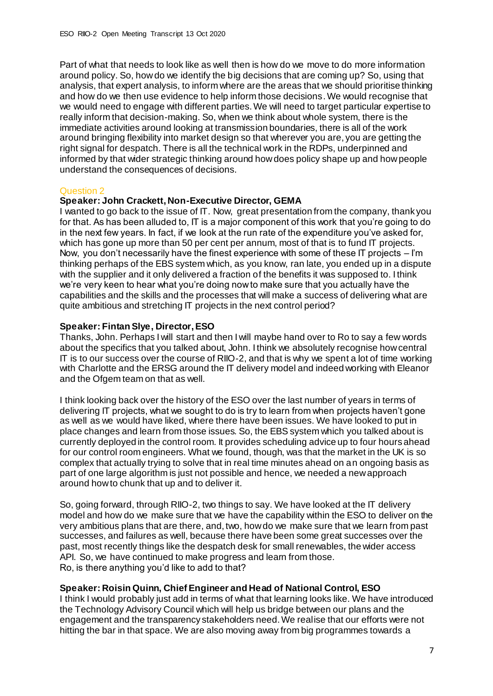Part of what that needs to look like as well then is how do we move to do more information around policy. So, how do we identify the big decisions that are coming up? So, using that analysis, that expert analysis, to inform where are the areas that we should prioritise thinking and how do we then use evidence to help inform those decisions. We would recognise that we would need to engage with different parties. We will need to target particular expertise to really inform that decision-making. So, when we think about whole system, there is the immediate activities around looking at transmission boundaries, there is all of the work around bringing flexibility into market design so that wherever you are, you are getting the right signal for despatch. There is all the technical work in the RDPs, underpinned and informed by that wider strategic thinking around how does policy shape up and how people understand the consequences of decisions.

#### Question 2

### **Speaker: John Crackett, Non-Executive Director, GEMA**

I wanted to go back to the issue of IT. Now, great presentation from the company, thank you for that. As has been alluded to, IT is a major component of this work that you're going to do in the next few years. In fact, if we look at the run rate of the expenditure you've asked for, which has gone up more than 50 per cent per annum, most of that is to fund IT projects. Now, you don't necessarily have the finest experience with some of these IT projects  $-$  I'm thinking perhaps of the EBS system which, as you know, ran late, you ended up in a dispute with the supplier and it only delivered a fraction of the benefits it was supposed to. I think we're very keen to hear what you're doing now to make sure that you actually have the capabilities and the skills and the processes that will make a success of delivering what are quite ambitious and stretching IT projects in the next control period?

### **Speaker: Fintan Slye, Director, ESO**

Thanks, John. Perhaps I will start and then I will maybe hand over to Ro to say a few words about the specifics that you talked about, John. I think we absolutely recognise how central IT is to our success over the course of RIIO-2, and that is why we spent a lot of time working with Charlotte and the ERSG around the IT delivery model and indeed working with Eleanor and the Ofgem team on that as well.

I think looking back over the history of the ESO over the last number of years in terms of delivering IT projects, what we sought to do is try to learn from when projects haven't gone as well as we would have liked, where there have been issues. We have looked to put in place changes and learn from those issues. So, the EBS system which you talked about is currently deployed in the control room. It provides scheduling advice up to four hours ahead for our control room engineers. What we found, though, was that the market in the UK is so complex that actually trying to solve that in real time minutes ahead on an ongoing basis as part of one large algorithm is just not possible and hence, we needed a new approach around how to chunk that up and to deliver it.

So, going forward, through RIIO-2, two things to say. We have looked at the IT delivery model and how do we make sure that we have the capability within the ESO to deliver on the very ambitious plans that are there, and, two, how do we make sure that we learn from past successes, and failures as well, because there have been some great successes over the past, most recently things like the despatch desk for small renewables, the wider access API. So, we have continued to make progress and learn from those. Ro, is there anything you'd like to add to that?

## **Speaker: Roisin Quinn, Chief Engineer and Head of National Control, ESO**

I think I would probably just add in terms of what that learning looks like. We have introduced the Technology Advisory Council which will help us bridge between our plans and the engagement and the transparency stakeholders need. We realise that our efforts were not hitting the bar in that space. We are also moving away from big programmes towards a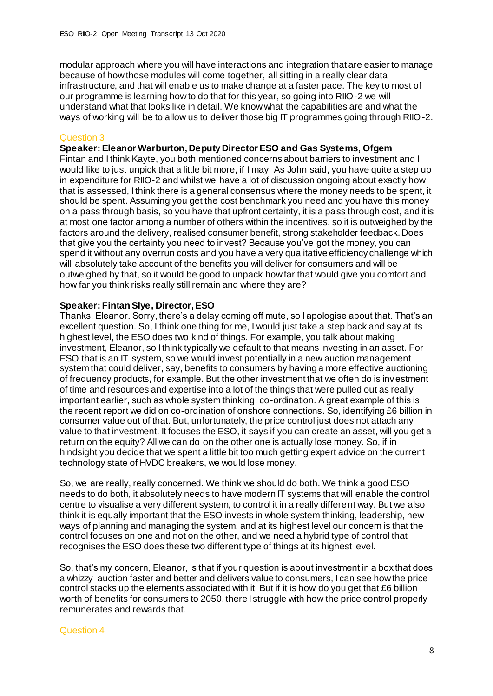modular approach where you will have interactions and integration that are easier to manage because of how those modules will come together, all sitting in a really clear data infrastructure, and that will enable us to make change at a faster pace. The key to most of our programme is learning how to do that for this year, so going into RIIO-2 we will understand what that looks like in detail. We know what the capabilities are and what the ways of working will be to allow us to deliver those big IT programmes going through RIIO-2.

### Question 3

### **Speaker: Eleanor Warburton, Deputy Director ESO and Gas Systems, Ofgem**

Fintan and I think Kayte, you both mentioned concerns about barriers to investment and I would like to just unpick that a little bit more, if I may. As John said, you have quite a step up in expenditure for RIIO-2 and whilst we have a lot of discussion ongoing about exactly how that is assessed, I think there is a general consensus where the money needs to be spent, it should be spent. Assuming you get the cost benchmark you need and you have this money on a pass through basis, so you have that upfront certainty, it is a pass through cost, and it is at most one factor among a number of others within the incentives, so it is outweighed by the factors around the delivery, realised consumer benefit, strong stakeholder feedback. Does that give you the certainty you need to invest? Because you've got the money, you can spend it without any overrun costs and you have a very qualitative efficiency challenge which will absolutely take account of the benefits you will deliver for consumers and will be outweighed by that, so it would be good to unpack how far that would give you comfort and how far you think risks really still remain and where they are?

### **Speaker: Fintan Slye, Director, ESO**

Thanks, Eleanor. Sorry, there's a delay coming off mute, so I apologise about that. That's an excellent question. So, I think one thing for me, I would just take a step back and say at its highest level, the ESO does two kind of things. For example, you talk about making investment, Eleanor, so I think typically we default to that means investing in an asset. For ESO that is an IT system, so we would invest potentially in a new auction management system that could deliver, say, benefits to consumers by having a more effective auctioning of frequency products, for example. But the other investment that we often do is investment of time and resources and expertise into a lot of the things that were pulled out as really important earlier, such as whole system thinking, co-ordination. A great example of this is the recent report we did on co-ordination of onshore connections. So, identifying £6 billion in consumer value out of that. But, unfortunately, the price control just does not attach any value to that investment. It focuses the ESO, it says if you can create an asset, will you get a return on the equity? All we can do on the other one is actually lose money. So, if in hindsight you decide that we spent a little bit too much getting expert advice on the current technology state of HVDC breakers, we would lose money.

So, we are really, really concerned. We think we should do both. We think a good ESO needs to do both, it absolutely needs to have modern IT systems that will enable the control centre to visualise a very different system, to control it in a really different way. But we also think it is equally important that the ESO invests in whole system thinking, leadership, new ways of planning and managing the system, and at its highest level our concern is that the control focuses on one and not on the other, and we need a hybrid type of control that recognises the ESO does these two different type of things at its highest level.

So, that's my concern, Eleanor, is that if your question is about investment in a box that does a whizzy auction faster and better and delivers value to consumers, I can see how the price control stacks up the elements associated with it. But if it is how do you get that £6 billion worth of benefits for consumers to 2050, there I struggle with how the price control properly remunerates and rewards that.

#### Question 4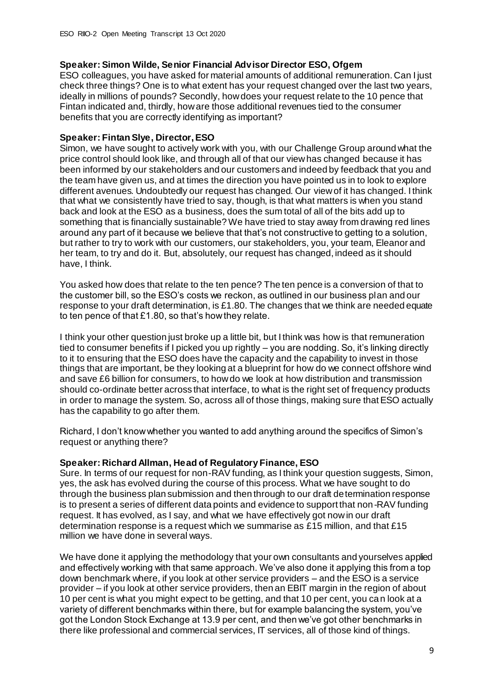## **Speaker: Simon Wilde, Senior Financial Advisor Director ESO, Ofgem**

ESO colleagues, you have asked for material amounts of additional remuneration. Can I just check three things? One is to what extent has your request changed over the last two years, ideally in millions of pounds? Secondly, how does your request relate to the 10 pence that Fintan indicated and, thirdly, how are those additional revenues tied to the consumer benefits that you are correctly identifying as important?

## **Speaker: Fintan Slye, Director, ESO**

Simon, we have sought to actively work with you, with our Challenge Group around what the price control should look like, and through all of that our view has changed because it has been informed by our stakeholders and our customers and indeed by feedback that you and the team have given us, and at times the direction you have pointed us in to look to explore different avenues. Undoubtedly our request has changed. Our view of it has changed. I think that what we consistently have tried to say, though, is that what matters is when you stand back and look at the ESO as a business, does the sum total of all of the bits add up to something that is financially sustainable? We have tried to stay away from drawing red lines around any part of it because we believe that that's not constructive to getting to a solution, but rather to try to work with our customers, our stakeholders, you, your team, Eleanor and her team, to try and do it. But, absolutely, our request has changed, indeed as it should have, I think.

You asked how does that relate to the ten pence? The ten pence is a conversion of that to the customer bill, so the ESO's costs we reckon, as outlined in our business plan and our response to your draft determination, is £1.80. The changes that we think are needed equate to ten pence of that £1.80, so that's how they relate.

I think your other question just broke up a little bit, but I think was how is that remuneration tied to consumer benefits if I picked you up rightly – you are nodding. So, it's linking directly to it to ensuring that the ESO does have the capacity and the capability to invest in those things that are important, be they looking at a blueprint for how do we connect offshore wind and save £6 billion for consumers, to how do we look at how distribution and transmission should co-ordinate better across that interface, to what is the right set of frequency products in order to manage the system. So, across all of those things, making sure that ESO actually has the capability to go after them.

Richard, I don't know whether you wanted to add anything around the specifics of Simon's request or anything there?

#### **Speaker: Richard Allman, Head of Regulatory Finance, ESO**

Sure. In terms of our request for non-RAV funding, as I think your question suggests, Simon, yes, the ask has evolved during the course of this process. What we have sought to do through the business plan submission and then through to our draft determination response is to present a series of different data points and evidence to support that non-RAV funding request. It has evolved, as I say, and what we have effectively got now in our draft determination response is a request which we summarise as £15 million, and that £15 million we have done in several ways.

We have done it applying the methodology that your own consultants and yourselves applied and effectively working with that same approach. We've also done it applying this from a top down benchmark where, if you look at other service providers – and the ESO is a service provider – if you look at other service providers, then an EBIT margin in the region of about 10 per cent is what you might expect to be getting, and that 10 per cent, you can look at a variety of different benchmarks within there, but for example balancing the system, you've got the London Stock Exchange at 13.9 per cent, and then we've got other benchmarks in there like professional and commercial services, IT services, all of those kind of things.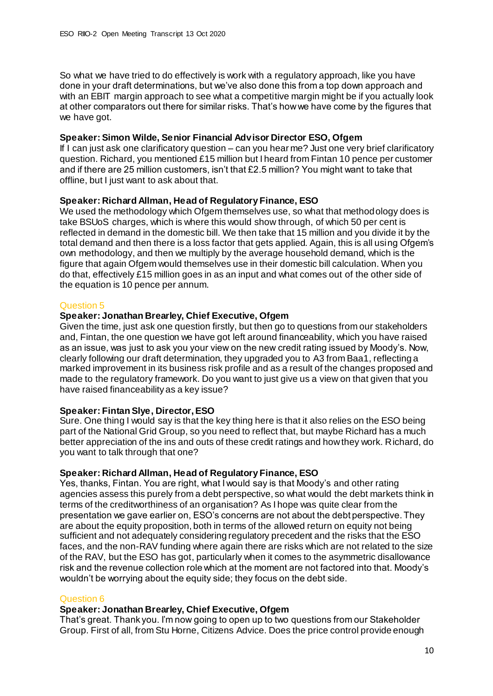So what we have tried to do effectively is work with a regulatory approach, like you have done in your draft determinations, but we've also done this from a top down approach and with an EBIT margin approach to see what a competitive margin might be if you actually look at other comparators out there for similar risks. That's how we have come by the figures that we have got.

## **Speaker: Simon Wilde, Senior Financial Advisor Director ESO, Ofgem**

If I can just ask one clarificatory question – can you hear me? Just one very brief clarificatory question. Richard, you mentioned £15 million but I heard from Fintan 10 pence per customer and if there are 25 million customers, isn't that £2.5 million? You might want to take that offline, but I just want to ask about that.

## **Speaker: Richard Allman, Head of Regulatory Finance, ESO**

We used the methodology which Ofgem themselves use, so what that methodology does is take BSUoS charges, which is where this would show through, of which 50 per cent is reflected in demand in the domestic bill. We then take that 15 million and you divide it by the total demand and then there is a loss factor that gets applied. Again, this is all using Ofgem's own methodology, and then we multiply by the average household demand, which is the figure that again Ofgem would themselves use in their domestic bill calculation. When you do that, effectively £15 million goes in as an input and what comes out of the other side of the equation is 10 pence per annum.

## Question 5

## **Speaker: Jonathan Brearley, Chief Executive, Ofgem**

Given the time, just ask one question firstly, but then go to questions from our stakeholders and, Fintan, the one question we have got left around financeability, which you have raised as an issue, was just to ask you your view on the new credit rating issued by Moody's. Now, clearly following our draft determination, they upgraded you to A3 from Baa1, reflecting a marked improvement in its business risk profile and as a result of the changes proposed and made to the regulatory framework. Do you want to just give us a view on that given that you have raised financeability as a key issue?

## **Speaker: Fintan Slye, Director, ESO**

Sure. One thing I would say is that the key thing here is that it also relies on the ESO being part of the National Grid Group, so you need to reflect that, but maybe Richard has a much better appreciation of the ins and outs of these credit ratings and how they work. Richard, do you want to talk through that one?

## **Speaker: Richard Allman, Head of Regulatory Finance, ESO**

Yes, thanks, Fintan. You are right, what I would say is that Moody's and other rating agencies assess this purely from a debt perspective, so what would the debt markets think in terms of the creditworthiness of an organisation? As I hope was quite clear from the presentation we gave earlier on, ESO's concerns are not about the debt perspective. They are about the equity proposition, both in terms of the allowed return on equity not being sufficient and not adequately considering regulatory precedent and the risks that the ESO faces, and the non-RAV funding where again there are risks which are not related to the size of the RAV, but the ESO has got, particularly when it comes to the asymmetric disallowance risk and the revenue collection role which at the moment are not factored into that. Moody's wouldn't be worrying about the equity side; they focus on the debt side.

## Question 6

## **Speaker: Jonathan Brearley, Chief Executive, Ofgem**

That's great. Thank you. I'm now going to open up to two questions from our Stakeholder Group. First of all, from Stu Horne, Citizens Advice. Does the price control provide enough